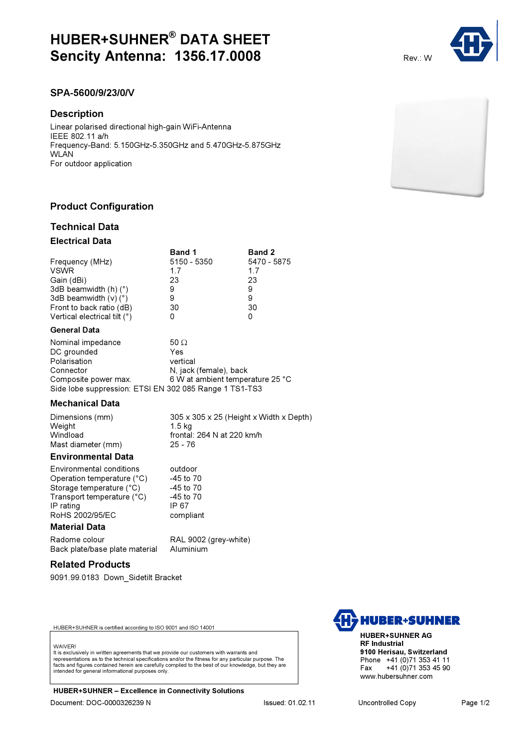# HUBER+SUHNER® DATA SHEET **Sencity Antenna: 1356.17.0008** Rev.: W

# SPA-5600/9/23/0/V

### **Description**

Linear polarised directional high-gain WiFi-Antenna IEEE 802.11 a/h Frequency-Band: 5.150GHz-5.350GHz and 5.470GHz-5.875GHz **WLAN** For outdoor application

# Product Configuration

## Technical Data

#### Electrical Data

|                                   | <b>Band 1</b> | <b>Band 2</b> |
|-----------------------------------|---------------|---------------|
| Frequency (MHz)                   | 5150 - 5350   | 5470 - 5875   |
| <b>VSWR</b>                       | 17            | 17            |
| Gain (dBi)                        | 23            | 23            |
| 3dB beamwidth $(h)$ ( $\degree$ ) | 9             | 9             |
| 3dB beamwidth $(v)$ ( $\degree$ ) | 9             | 9             |
| Front to back ratio (dB)          | 30            | 30            |
| Vertical electrical tilt (°)      |               | O             |

#### General Data

| Nominal impedance                                      | 50 $\Omega$                      |  |
|--------------------------------------------------------|----------------------------------|--|
| DC grounded                                            | Yes                              |  |
| Polarisation                                           | vertical                         |  |
| Connector                                              | N, jack (female), back           |  |
| Composite power max.                                   | 6 W at ambient temperature 25 °C |  |
| Side lobe suppression: ETSI EN 302 085 Range 1 TS1-TS3 |                                  |  |

#### Mechanical Data

| Dimensions (mm)    | $305 \times 305 \times 25$ (Height x Width x Depth) |
|--------------------|-----------------------------------------------------|
| Weight             | 1.5 ka                                              |
| Windload           | frontal: 264 N at 220 km/h                          |
| Mast diameter (mm) | 25 - 76                                             |

### Environmental Data

| Environmental conditions   | outdoor       |
|----------------------------|---------------|
| Operation temperature (°C) | -45 to 70     |
| Storage temperature (°C)   | -45 to 70     |
| Transport temperature (°C) | $-45$ to $70$ |
| IP rating                  | IP 67         |
| RoHS 2002/95/EC            | compliant     |
|                            |               |

# Material Data

| Radome colour                  | RAL 9002 (grey-white) |
|--------------------------------|-----------------------|
| Back plate/base plate material | Aluminium             |

#### Related Products

9091.99.0183 Down\_Sidetilt Bracket

HUBER+SUHNER is certified according to ISO 9001 and ISO 14001

#### **WAIVER!**

It is exclusively in written agreements that we provide our customers with warrants and representations as to the technical specifications and/or the fitness for any particular purpose. The facts and figures contained herein are carefully compiled to the best of our knowledge, but they are intended for general informational purposes only.

HUBER+SUHNER – Excellence in Connectivity Solutions Document: DOC-0000326239 N Issued: 01.02.11 Uncontrolled Copy Page 1/2



HUBER+SUHNER AG RF Industrial 9100 Herisau, Switzerland Phone +41 (0)71 353 41 11<br>Fax +41 (0)71 353 45 90 Fax +41 (0)71 353 45 90 www.hubersuhner.com